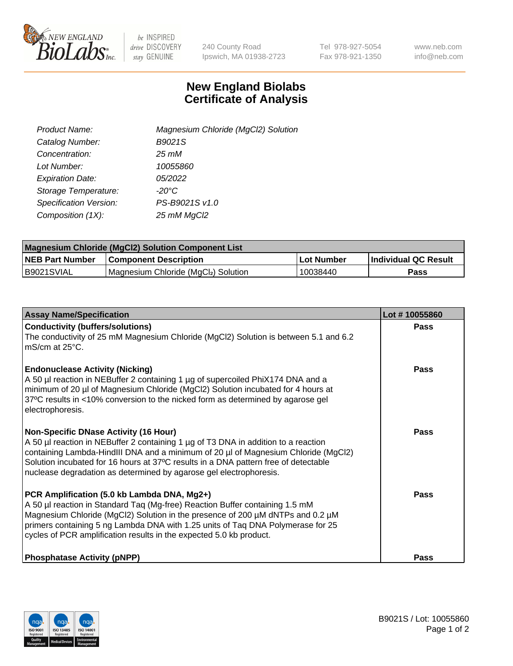

 $be$  INSPIRED drive DISCOVERY stay GENUINE

240 County Road Ipswich, MA 01938-2723 Tel 978-927-5054 Fax 978-921-1350 www.neb.com info@neb.com

## **New England Biolabs Certificate of Analysis**

| Product Name:           | Magnesium Chloride (MgCl2) Solution |
|-------------------------|-------------------------------------|
| Catalog Number:         | B9021S                              |
| Concentration:          | $25 \, \text{m}$ M                  |
| Lot Number:             | 10055860                            |
| <b>Expiration Date:</b> | 05/2022                             |
| Storage Temperature:    | $-20^{\circ}$ C                     |
| Specification Version:  | PS-B9021S v1.0                      |
| Composition (1X):       | 25 mM MgCl2                         |

| <b>Magnesium Chloride (MgCl2) Solution Component List</b> |                                     |            |                      |  |  |
|-----------------------------------------------------------|-------------------------------------|------------|----------------------|--|--|
| <b>NEB Part Number</b>                                    | <b>Component Description</b>        | Lot Number | Individual QC Result |  |  |
| B9021SVIAL                                                | Magnesium Chloride (MgCl2) Solution | 10038440   | Pass                 |  |  |

| <b>Assay Name/Specification</b>                                                                                                                                                                                                                                                                                                                                                       | Lot #10055860 |
|---------------------------------------------------------------------------------------------------------------------------------------------------------------------------------------------------------------------------------------------------------------------------------------------------------------------------------------------------------------------------------------|---------------|
| <b>Conductivity (buffers/solutions)</b><br>The conductivity of 25 mM Magnesium Chloride (MgCl2) Solution is between 5.1 and 6.2<br>$\overline{\phantom{a}}$ mS/cm at 25°C.                                                                                                                                                                                                            | <b>Pass</b>   |
| <b>Endonuclease Activity (Nicking)</b><br>A 50 µl reaction in NEBuffer 2 containing 1 µg of supercoiled PhiX174 DNA and a<br>minimum of 20 µl of Magnesium Chloride (MgCl2) Solution incubated for 4 hours at<br>37°C results in <10% conversion to the nicked form as determined by agarose gel<br>electrophoresis.                                                                  | Pass          |
| <b>Non-Specific DNase Activity (16 Hour)</b><br>A 50 µl reaction in NEBuffer 2 containing 1 µg of T3 DNA in addition to a reaction<br>containing Lambda-HindIII DNA and a minimum of 20 µl of Magnesium Chloride (MgCl2)<br>Solution incubated for 16 hours at 37°C results in a DNA pattern free of detectable<br>nuclease degradation as determined by agarose gel electrophoresis. | Pass          |
| PCR Amplification (5.0 kb Lambda DNA, Mg2+)<br>A 50 µl reaction in Standard Taq (Mg-free) Reaction Buffer containing 1.5 mM<br>Magnesium Chloride (MgCl2) Solution in the presence of 200 µM dNTPs and 0.2 µM<br>primers containing 5 ng Lambda DNA with 1.25 units of Taq DNA Polymerase for 25<br>cycles of PCR amplification results in the expected 5.0 kb product.               | Pass          |
| <b>Phosphatase Activity (pNPP)</b>                                                                                                                                                                                                                                                                                                                                                    | Pass          |